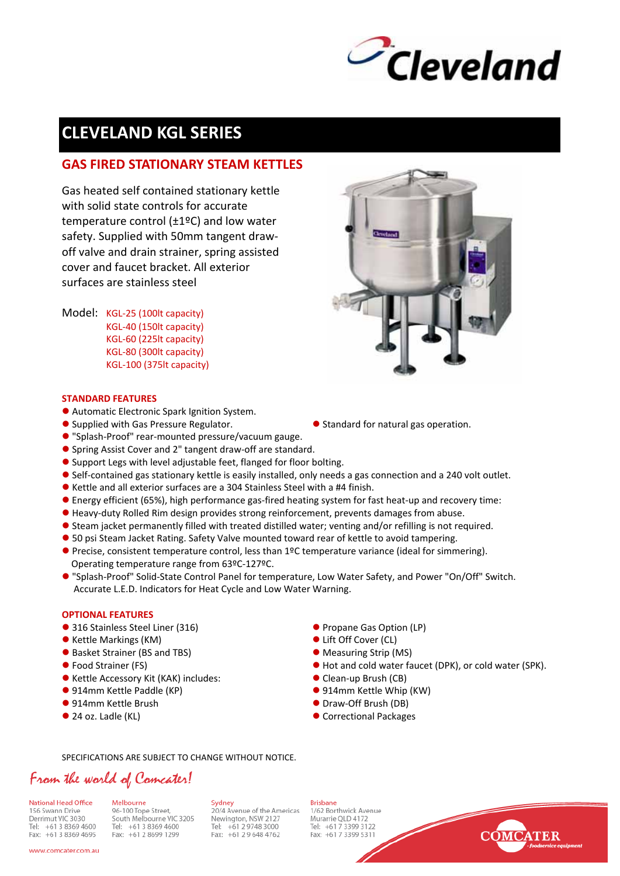

# **CLEVELAND KGL SERIES**

## **GAS FIRED STATIONARY STEAM KETTLES**

Gas heated self contained stationary kettle with solid state controls for accurate temperature control (±1ºC) and low water safety. Supplied with 50mm tangent draw‐ off valve and drain strainer, spring assisted cover and faucet bracket. All exterior surfaces are stainless steel

Model: KGL-25 (100lt capacity) KGL‐40 (150lt capacity) KGL‐60 (225lt capacity) KGL‐80 (300lt capacity) KGL‐100 (375lt capacity)



#### **STANDARD FEATURES**

- Automatic Electronic Spark Ignition System.
- Supplied with Gas Pressure Regulator.  $\bullet$  Standard for natural gas operation.
- "Splash-Proof" rear-mounted pressure/vacuum gauge.
- Spring Assist Cover and 2" tangent draw-off are standard.
- Support Legs with level adjustable feet, flanged for floor bolting.
- Self-contained gas stationary kettle is easily installed, only needs a gas connection and a 240 volt outlet.
- $\bullet$  Kettle and all exterior surfaces are a 304 Stainless Steel with a #4 finish.
- Energy efficient (65%), high performance gas-fired heating system for fast heat-up and recovery time:
- Heavy-duty Rolled Rim design provides strong reinforcement, prevents damages from abuse.
- **•** Steam jacket permanently filled with treated distilled water; venting and/or refilling is not required.
- **•** 50 psi Steam Jacket Rating. Safety Valve mounted toward rear of kettle to avoid tampering.
- **•** Precise, consistent temperature control, less than 1ºC temperature variance (ideal for simmering). Operating temperature range from 63ºC‐127ºC.
- "Splash-Proof" Solid-State Control Panel for temperature, Low Water Safety, and Power "On/Off" Switch. Accurate L.E.D. Indicators for Heat Cycle and Low Water Warning.

## **OPTIONAL FEATURES**

- 316 Stainless Steel Liner (316) 2020 20:00 20:00 20:00 Propane Gas Option (LP)
- z Kettle Markings (KM) z Lift Off Cover (CL)
- Basket Strainer (BS and TBS) **and TBS** and TBS and TBS and TBS and TBS and TBS and TBS and TBS and TBS and TBS and TBS and TBS and TBS and TBS and TBS and TBS and TBS and TBS and TBS and TBS and TBS and TBS and TBS and T
- 
- Kettle Accessory Kit (KAK) includes: <br>● Clean-up Brush (CB)
- z 914mm Kettle Paddle (KP) z 914mm Kettle Whip (KW)
- 
- 
- 
- 
- 
- z Food Strainer (FS) z Hot and cold water faucet (DPK), or cold water (SPK).
	-
	-
- 914mm Kettle Brush z Draw–Off Brush (DB)
- 24 oz. Ladle (KL) z Correctional Packages

## SPECIFICATIONS ARE SUBJECT TO CHANGE WITHOUT NOTICE.

## From the world of Comcater!

National Head Office 156 Swann Drive Derrimut VIC 3030 Tel: +61 3 8369 4600 Fax: +61 3 8369 4695

Melbourne 96-100 Tope Street, South Melbourne VIC 3205 Tel: +61 3 8369 4600 Fax: +61 2 8699 1299

Sydney Sydney<br>20/4 Avenue of the Americas<br>Newington, NSW 2127 Tel: +61 2 9748 3000 Fax: +61 2 9 648 4762

**Brisbane** 1/62 Borthwick Avenue Murarrie OLD 4172 Tel: +61 7 3399 3122 Fax: +61 7 3399 5311



www.comcater.com.au